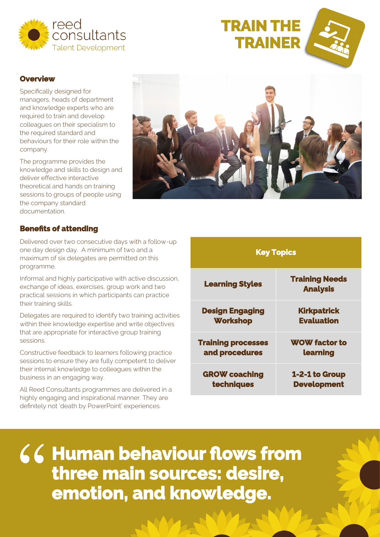

# **TRAIN THE TRAINER**



#### **Overview**

Specifically designed for managers, heads of department and knowledge experts who are required to train and develop colleagues on their specialism to the required standard and behaviours for their role within the company.

The programme provides the knowledge and skills to design and deliver effective interactive theoretical and hands on training sessions to groups of people using the company standard documentation.



## **Benefits of attending**

Delivered over two consecutive days with a follow-up one day design day. A minimum of two and a maximum of six delegates are permitted on this programme.

Informal and highly participative with active discussion, exchange of ideas, exercises, group work and two practical sessions in which participants can practice their training skills.

Delegates are required to identify two training activities within their knowledge expertise and write objectives that are appropriate for interactive group training sessions.

Constructive feedback to learners following practice sessions to ensure they are fully competent to deliver their internal knowledge to colleagues within the business in an engaging way.

All Reed Consultants programmes are delivered in a highly engaging and inspirational manner. They are definitely not 'death by PowerPoint' experiences.

| <b>Key Topics</b>         |                                          |
|---------------------------|------------------------------------------|
| <b>Learning Styles</b>    | <b>Training Needs</b><br><b>Analysis</b> |
| <b>Design Engaging</b>    | <b>Kirkpatrick</b>                       |
| <b>Workshop</b>           | <b>Evaluation</b>                        |
| <b>Training processes</b> | <b>WOW factor to</b>                     |
| and procedures            | learning                                 |
| <b>GROW coaching</b>      | 1-2-1 to Group                           |
| techniques                | <b>Development</b>                       |

**Human behaviour flows from three main sources: desire,**  " **emotion, and knowledge.**